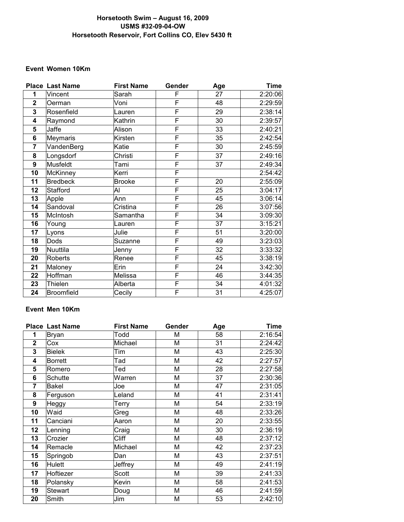# **USMS #32-09-04-OW Horsetooth Swim – August 16, 2009 Horsetooth Reservoir, Fort Collins CO, Elev 5430 ft**

### **Event Women 10Km**

|                  | Place Last Name | <b>First Name</b> | Gender                  | Age | <b>Time</b> |
|------------------|-----------------|-------------------|-------------------------|-----|-------------|
| 1                | Vincent         | Sarah             | F                       | 27  | 2:20:06     |
| $\overline{2}$   | Oerman          | Voni              | F                       | 48  | 2:29:59     |
| 3                | Rosenfield      | Lauren            | F                       | 29  | 2:38:14     |
| 4                | Raymond         | Kathrin           | $\overline{\mathsf{F}}$ | 30  | 2:39:57     |
| 5                | Jaffe           | Alison            | F                       | 33  | 2:40:21     |
| 6                | Meymaris        | Kirsten           | F                       | 35  | 2:42:54     |
| $\overline{7}$   | VandenBerg      | Katie             | F                       | 30  | 2:45:59     |
| 8                | Longsdorf       | Christi           | $\overline{\mathsf{F}}$ | 37  | 2:49:16     |
| $\boldsymbol{9}$ | Musfeldt        | Tami              | F                       | 37  | 2:49:34     |
| 10               | McKinney        | Kerri             | F                       |     | 2:54:42     |
| 11               | <b>Bredbeck</b> | <b>Brooke</b>     | F                       | 20  | 2:55:09     |
| 12               | Stafford        | Al                | $\overline{\mathsf{F}}$ | 25  | 3:04:17     |
| 13               | Apple           | Ann               | $\overline{\mathsf{F}}$ | 45  | 3:06:14     |
| 14               | Sandoval        | Cristina          | F                       | 26  | 3:07:56     |
| 15               | McIntosh        | Samantha          | F                       | 34  | 3:09:30     |
| 16               | Young           | Lauren            | $\overline{\mathsf{F}}$ | 37  | 3:15:21     |
| 17               | Lyons           | Julie             | F                       | 51  | 3:20:00     |
| 18               | Dods            | Suzanne           | F                       | 49  | 3:23:03     |
| 19               | Nuuttila        | Jenny             | F                       | 32  | 3:33:32     |
| 20               | Roberts         | Renee             | F                       | 45  | 3:38:19     |
| 21               | Maloney         | Erin              | F                       | 24  | 3:42:30     |
| 22               | Hoffman         | Melissa           | F                       | 46  | 3:44:35     |
| 23               | Thielen         | Alberta           | F                       | 34  | 4:01:32     |
| 24               | Broomfield      | Cecily            | F                       | 31  | 4:25:07     |

# **Event Men 10Km**

|              | <b>Place Last Name</b> | <b>First Name</b> | Gender | Age | <b>Time</b> |
|--------------|------------------------|-------------------|--------|-----|-------------|
| 1            | <b>Bryan</b>           | Todd              | M      | 58  | 2:16:54     |
| $\mathbf{2}$ | Cox                    | Michael           | M      | 31  | 2:24:42     |
| 3            | <b>Bielek</b>          | Tim               | M      | 43  | 2:25:30     |
| 4            | <b>Borrett</b>         | Tad               | Μ      | 42  | 2:27:57     |
| 5            | Romero                 | Ted               | M      | 28  | 2:27:58     |
| 6            | Schutte                | Warren            | M      | 37  | 2:30:36     |
| 7            | <b>Bakel</b>           | Joe               | Μ      | 47  | 2:31:05     |
| 8            | Ferguson               | Leland            | M      | 41  | 2:31:41     |
| 9            | Heggy                  | Terry             | Μ      | 54  | 2:33:19     |
| 10           | Waid                   | Greg              | М      | 48  | 2:33:26     |
| 11           | Canciani               | Aaron             | Μ      | 20  | 2:33:55     |
| 12           | Lenning                | Craig             | M      | 30  | 2:36:19     |
| 13           | Crozier                | <b>Cliff</b>      | M      | 48  | 2:37:12     |
| 14           | Remacle                | Michael           | M      | 42  | 2:37:23     |
| 15           | Springob               | Dan               | M      | 43  | 2:37:51     |
| 16           | Hulett                 | Jeffrey           | Μ      | 49  | 2:41:19     |
| 17           | Hoftiezer              | Scott             | M      | 39  | 2:41:33     |
| 18           | Polansky               | Kevin             | M      | 58  | 2:41:53     |
| 19           | <b>Stewart</b>         | Doug              | Μ      | 46  | 2:41:59     |
| 20           | Smith                  | Jim               | M      | 53  | 2:42:10     |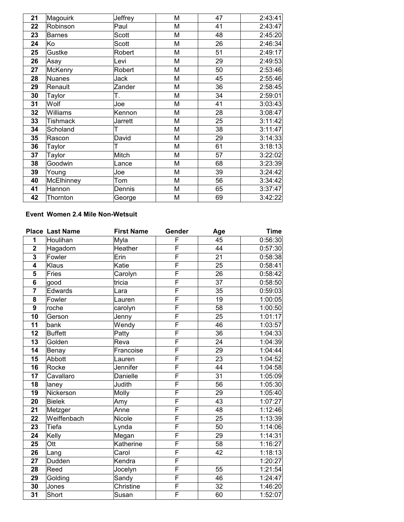| 21 | Magouirk        | Jeffrey        | M | 47 | 2:43:41 |
|----|-----------------|----------------|---|----|---------|
| 22 | Robinson        | Paul           | M | 41 | 2:43:47 |
| 23 | <b>Barnes</b>   | Scott          | M | 48 | 2:45:20 |
| 24 | Ko              | Scott          | M | 26 | 2:46:34 |
| 25 | Gustke          | Robert         | M | 51 | 2:49:17 |
| 26 | Asay            | Levi           | M | 29 | 2:49:53 |
| 27 | <b>McKenry</b>  | Robert         | M | 50 | 2:53:46 |
| 28 | <b>Nuanes</b>   | Jack           | M | 45 | 2:55:46 |
| 29 | Renault         | Zander         | M | 36 | 2:58:45 |
| 30 | Taylor          | T.             | M | 34 | 2:59:01 |
| 31 | Wolf            | Joe            | M | 41 | 3:03:43 |
| 32 | Williams        | Kennon         | M | 28 | 3:08:47 |
| 33 | <b>Tishmack</b> | <b>Jarrett</b> | M | 25 | 3:11:42 |
| 34 | Scholand        | Τ              | M | 38 | 3:11:47 |
| 35 | Rascon          | David          | M | 29 | 3:14:33 |
| 36 | Taylor          | т              | M | 61 | 3:18:13 |
| 37 | Taylor          | Mitch          | M | 57 | 3:22:02 |
| 38 | Goodwin         | Lance          | M | 68 | 3:23:39 |
| 39 | Young           | Joe            | M | 39 | 3:24:42 |
| 40 | McElhinney      | Tom            | M | 56 | 3:34:42 |
| 41 | Hannon          | Dennis         | M | 65 | 3:37:47 |
| 42 | Thornton        | George         | M | 69 | 3:42:22 |

## **Event Women 2.4 Mile Non-Wetsuit**

|                         | <b>Place Last Name</b> | <b>First Name</b> | Gender                  | Age             | <b>Time</b> |
|-------------------------|------------------------|-------------------|-------------------------|-----------------|-------------|
| 1                       | Houlihan               | Myla              | F                       | 45              | 0:56:30     |
| $\overline{\mathbf{2}}$ | Hagadorn               | Heather           | F                       | 44              | 0:57:30     |
| $\overline{\mathbf{3}}$ | Fowler                 | Erin              | $\overline{\mathsf{F}}$ | 21              | 0:58:38     |
| $\overline{\mathbf{4}}$ | Klaus                  | Katie             | F                       | 25              | 0:58:41     |
| 5                       | Fries                  | Carolyn           | F                       | 26              | 0:58:42     |
| 6                       | good                   | tricia            | F                       | $\overline{37}$ | 0:58:50     |
| $\overline{7}$          | Edwards                | Lara              | F                       | 35              | 0:59:03     |
| 8                       | Fowler                 | Lauren            | $\overline{\mathsf{F}}$ | $\overline{19}$ | 1:00:05     |
| $\overline{9}$          | roche                  | carolyn           | F                       | 58              | 1:00:50     |
| 10                      | Gerson                 | Jenny             | F                       | 25              | 1:01:17     |
| 11                      | bank                   | Wendy             | $\overline{\mathsf{F}}$ | 46              | 1:03:57     |
| 12                      | <b>Buffett</b>         | Patty             | $\overline{\mathsf{F}}$ | 36              | 1:04:33     |
| 13                      | Golden                 | Reva              | F                       | 24              | 1:04:39     |
| 14                      | Benay                  | Francoise         | $\overline{\mathsf{F}}$ | 29              | 1:04:44     |
| 15                      | Abbott                 | Lauren            | F                       | 23              | 1:04:52     |
| 16                      | Rocke                  | Jennifer          | F                       | 44              | 1:04:58     |
| 17                      | Cavallaro              | Danielle          | F                       | 31              | 1:05:09     |
| 18                      | laney                  | Judith            | F                       | 56              | 1:05:30     |
| 19                      | Nickerson              | Molly             | F                       | 29              | 1:05:40     |
| 20                      | <b>Bielek</b>          | Amy               | $\overline{\mathsf{F}}$ | 43              | 1:07:27     |
| 21                      | Metzger                | Anne              | F                       | 48              | 1:12:46     |
| 22                      | Weiffenbach            | Nicole            | F                       | 25              | 1:13:39     |
| 23                      | Tiefa                  | Lynda             | F                       | 50              | 1:14:06     |
| 24                      | Kelly                  | Megan             | $\overline{\mathsf{F}}$ | 29              | 1:14:31     |
| 25                      | Ott                    | Katherine         | $\overline{\mathsf{F}}$ | 58              | 1:16:27     |
| 26                      | Lang                   | Carol             | $\overline{\mathsf{F}}$ | 42              | 1:18:13     |
| 27                      | Dudden                 | Kendra            | $\overline{\mathsf{F}}$ |                 | 1:20:27     |
| 28                      | Reed                   | Jocelyn           | $\overline{\mathsf{F}}$ | 55              | 1:21:54     |
| 29                      | Golding                | Sandy             | F                       | 46              | 1:24:47     |
| 30                      | Jones                  | Christine         | F                       | 32              | 1:46:20     |
| $\overline{31}$         | Short                  | Susan             | $\overline{\mathsf{F}}$ | 60              | 1:52:07     |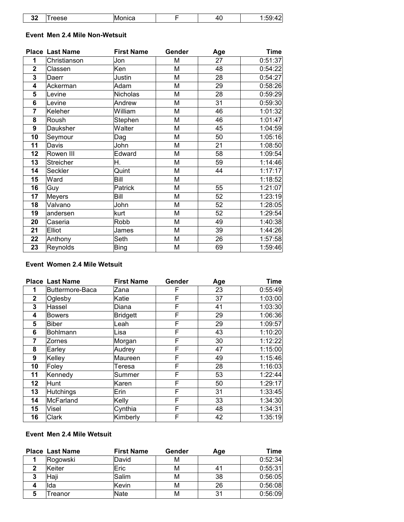| . .<br>w<br>-- |  | 11 |  |
|----------------|--|----|--|
|----------------|--|----|--|

### **Event Men 2.4 Mile Non-Wetsuit**

|                  | <b>Place Last Name</b> | <b>First Name</b> | Gender | Age | <b>Time</b> |
|------------------|------------------------|-------------------|--------|-----|-------------|
| 1                | Christianson           | Jon               | M      | 27  | 0:51:37     |
| $\mathbf{2}$     | Classen                | Ken               | M      | 48  | 0:54:22     |
| 3                | Daerr                  | Justin            | M      | 28  | 0:54:27     |
| 4                | Ackerman               | Adam              | M      | 29  | 0:58:26     |
| 5                | Levine                 | Nicholas          | M      | 28  | 0:59:29     |
| 6                | Levine                 | Andrew            | M      | 31  | 0:59:30     |
| 7                | Keleher                | William           | M      | 46  | 1:01:32     |
| 8                | Roush                  | Stephen           | M      | 46  | 1:01:47     |
| $\boldsymbol{9}$ | Dauksher               | Walter            | M      | 45  | 1:04:59     |
| 10               | Seymour                | Dag               | M      | 50  | 1:05:16     |
| 11               | Davis                  | John              | M      | 21  | 1:08:50     |
| 12               | Rowen III              | Edward            | M      | 58  | 1:09:54     |
| 13               | Streicher              | Η.                | M      | 59  | 1:14:46     |
| 14               | Seckler                | Quint             | M      | 44  | 1:17:17     |
| 15               | Ward                   | Bill              | M      |     | 1:18:52     |
| 16               | Guy                    | Patrick           | M      | 55  | 1:21:07     |
| 17               | <b>Meyers</b>          | Bill              | M      | 52  | 1:23:19     |
| 18               | Valvano                | John              | M      | 52  | 1:28:05     |
| 19               | andersen               | kurt              | M      | 52  | 1:29:54     |
| 20               | Caseria                | Robb              | M      | 49  | 1:40:38     |
| 21               | Elliot                 | James             | M      | 39  | 1:44:26     |
| 22               | Anthony                | Seth              | M      | 26  | 1:57:58     |
| 23               | Reynolds               | Bing              | M      | 69  | 1:59:46     |

### **Event Women 2.4 Mile Wetsuit**

|              | <b>Place Last Name</b> | <b>First Name</b> | Gender | Age | <b>Time</b> |
|--------------|------------------------|-------------------|--------|-----|-------------|
| 1            | Buttermore-Baca        | Zana              | F      | 23  | 0:55:49     |
| $\mathbf{2}$ | Oglesby                | Katie             | F      | 37  | 1:03:00     |
| 3            | Hassel                 | Diana             | F      | 41  | 1:03:30     |
| 4            | <b>Bowers</b>          | <b>Bridgett</b>   | F      | 29  | 1:06:36     |
| 5            | Biber                  | Leah              | F      | 29  | 1:09:57     |
| 6            | Bohlmann               | Lisa              | F      | 43  | 1:10:20     |
| 7            | Zornes                 | Morgan            | F      | 30  | 1:12:22     |
| 8            | Earley                 | Audrey            | F      | 47  | 1:15:00     |
| 9            | Kelley                 | Maureen           | F      | 49  | 1:15:46     |
| 10           | Foley                  | Teresa            | F      | 28  | 1:16:03     |
| 11           | Kennedy                | Summer            | F      | 53  | 1:22:44     |
| 12           | Hunt                   | <b>Karen</b>      | F      | 50  | 1:29:17     |
| 13           | <b>Hutchings</b>       | Erin              | F      | 31  | 1:33:45     |
| 14           | McFarland              | Kelly             | F      | 33  | 1:34:30     |
| 15           | <b>Visel</b>           | Cynthia           | F      | 48  | 1:34:31     |
| 16           | Clark                  | Kimberly          | F      | 42  | 1:35:19     |

#### **Event Men 2.4 Mile Wetsuit**

|   | <b>Place Last Name</b> | <b>First Name</b> | Gender | Aqe | <b>Time</b> |
|---|------------------------|-------------------|--------|-----|-------------|
|   | Rogowski               | David             | м      |     | 0:52:34     |
| ◠ | <b>Keiter</b>          | lEric⊦            | М      | 41  | 0:55:31     |
|   | Haji                   | Salim             | м      | 38  | 0:56:05     |
|   | Ida                    | <b>Kevin</b>      | М      | 26  | 0:56:08     |
|   | reanor                 | Nate              | М      | 31  | 0:56:09     |